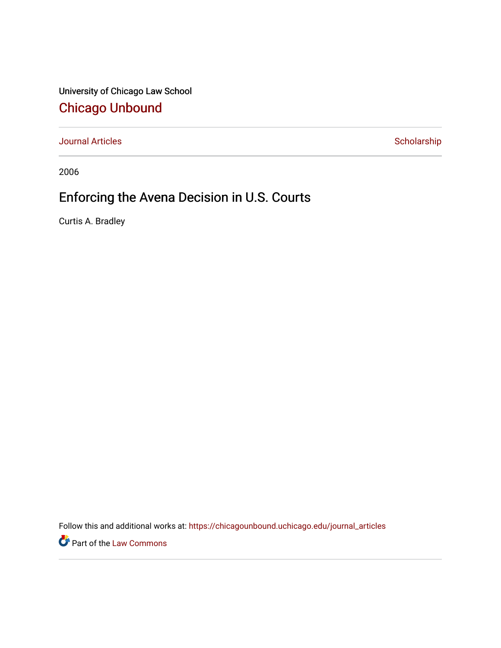University of Chicago Law School [Chicago Unbound](https://chicagounbound.uchicago.edu/)

[Journal Articles](https://chicagounbound.uchicago.edu/journal_articles) **Scholarship** Scholarship

2006

## Enforcing the Avena Decision in U.S. Courts

Curtis A. Bradley

Follow this and additional works at: [https://chicagounbound.uchicago.edu/journal\\_articles](https://chicagounbound.uchicago.edu/journal_articles?utm_source=chicagounbound.uchicago.edu%2Fjournal_articles%2F10181&utm_medium=PDF&utm_campaign=PDFCoverPages) 

Part of the [Law Commons](http://network.bepress.com/hgg/discipline/578?utm_source=chicagounbound.uchicago.edu%2Fjournal_articles%2F10181&utm_medium=PDF&utm_campaign=PDFCoverPages)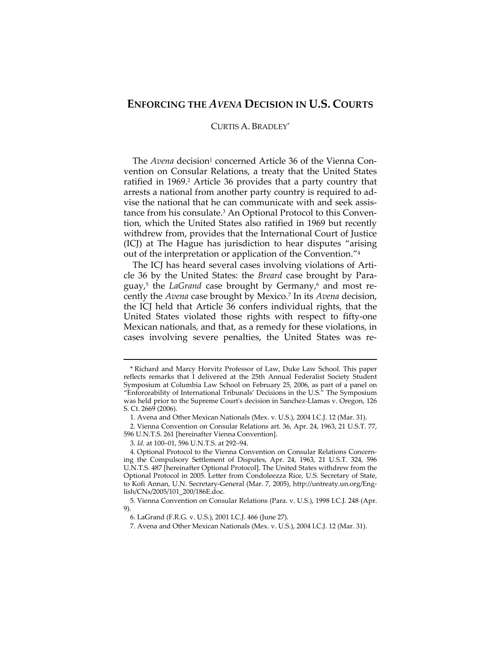## **ENFORCING THE** *AVENA* **DECISION IN U.S. COURTS**

## CURTIS A. BRADLEY\*

The *Avena* decision<sup>1</sup> concerned Article 36 of the Vienna Convention on Consular Relations, a treaty that the United States ratified in 1969.<sup>2</sup> Article 36 provides that a party country that arrests a national from another party country is required to ad‐ vise the national that he can communicate with and seek assis‐ tance from his consulate.<sup>3</sup> An Optional Protocol to this Convention, which the United States also ratified in 1969 but recently withdrew from, provides that the International Court of Justice (ICJ) at The Hague has jurisdiction to hear disputes "arising out of the interpretation or application of the Convention."4

The ICJ has heard several cases involving violations of Article 36 by the United States: the *Breard* case brought by Para‐ guay,<sup>5</sup> the *LaGrand* case brought by Germany,<sup>6</sup> and most recently the *Avena* case brought by Mexico.7 In its *Avena* decision, the ICJ held that Article 36 confers individual rights, that the United States violated those rights with respect to fifty‐one Mexican nationals, and that, as a remedy for these violations, in cases involving severe penalties, the United States was re‐

<u> 1989 - Johann Stein, marwolaethau a bhann an t-Amhain an t-Amhain an t-Amhain an t-Amhain an t-Amhain an t-A</u>

<sup>\*</sup> Richard and Marcy Horvitz Professor of Law, Duke Law School. This paper reflects remarks that I delivered at the 25th Annual Federalist Society Student Symposium at Columbia Law School on February 25, 2006, as part of a panel on "Enforceability of International Tribunals' Decisions in the U.S." The Symposium was held prior to the Supreme Court's decision in Sanchez-Llamas v. Oregon, 126 S. Ct. 2669 (2006).

<sup>1.</sup> Avena and Other Mexican Nationals (Mex. v. U.S.), 2004 I.C.J. 12 (Mar. 31).

<sup>2.</sup> Vienna Convention on Consular Relations art. 36, Apr. 24, 1963, 21 U.S.T. 77, 596 U.N.T.S. 261 [hereinafter Vienna Convention].

<sup>3.</sup> *Id.* at 100–01, 596 U.N.T.S. at 292–94.

<sup>4.</sup> Optional Protocol to the Vienna Convention on Consular Relations Concern‐ ing the Compulsory Settlement of Disputes, Apr. 24, 1963, 21 U.S.T. 324, 596 U.N.T.S. 487 [hereinafter Optional Protocol]. The United States withdrew from the Optional Protocol in 2005. Letter from Condoleezza Rice, U.S. Secretary of State, to Kofi Annan, U.N. Secretary‐General (Mar. 7, 2005), http://untreaty.un.org/Eng‐ lish/CNs/2005/101\_200/186E.doc.

<sup>5.</sup> Vienna Convention on Consular Relations (Para. v. U.S.), 1998 I.C.J. 248 (Apr. 9).

<sup>6.</sup> LaGrand (F.R.G. v. U.S.), 2001 I.C.J. 466 (June 27).

<sup>7.</sup> Avena and Other Mexican Nationals (Mex. v. U.S.), 2004 I.C.J. 12 (Mar. 31).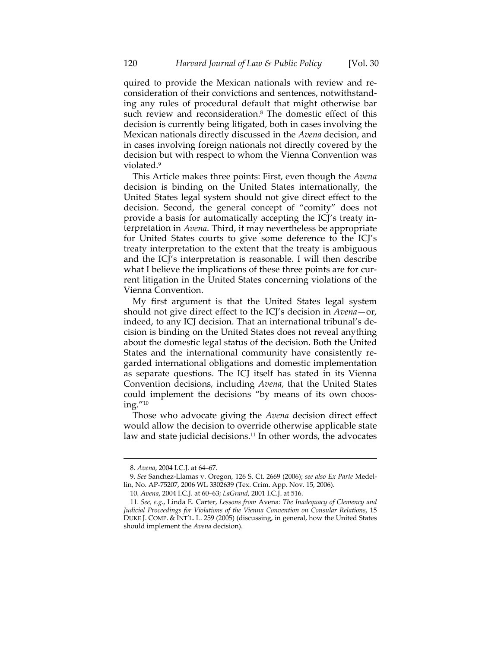quired to provide the Mexican nationals with review and re‐ consideration of their convictions and sentences, notwithstand‐ ing any rules of procedural default that might otherwise bar such review and reconsideration.<sup>8</sup> The domestic effect of this decision is currently being litigated, both in cases involving the Mexican nationals directly discussed in the *Avena* decision, and in cases involving foreign nationals not directly covered by the decision but with respect to whom the Vienna Convention was violated.9

This Article makes three points: First, even though the *Avena* decision is binding on the United States internationally, the United States legal system should not give direct effect to the decision. Second, the general concept of "comity" does not provide a basis for automatically accepting the ICJ's treaty in‐ terpretation in *Avena*. Third, it may nevertheless be appropriate for United States courts to give some deference to the ICJ's treaty interpretation to the extent that the treaty is ambiguous and the ICJ's interpretation is reasonable. I will then describe what I believe the implications of these three points are for current litigation in the United States concerning violations of the Vienna Convention.

My first argument is that the United States legal system should not give direct effect to the ICJ's decision in *Avena*—or, indeed, to any ICJ decision. That an international tribunal's de‐ cision is binding on the United States does not reveal anything about the domestic legal status of the decision. Both the United States and the international community have consistently re‐ garded international obligations and domestic implementation as separate questions. The ICJ itself has stated in its Vienna Convention decisions, including *Avena*, that the United States could implement the decisions "by means of its own choosing."10

Those who advocate giving the *Avena* decision direct effect would allow the decision to override otherwise applicable state law and state judicial decisions.<sup>11</sup> In other words, the advocates

<u> 1989 - Johann Stein, marwolaethau a bhann an t-Amhain an t-Amhain an t-Amhain an t-Amhain an t-Amhain an t-A</u>

<sup>8.</sup> *Avena*, 2004 I.C.J. at 64–67.

<sup>9.</sup> *See* Sanchez‐Llamas v. Oregon, 126 S. Ct. 2669 (2006); *see also Ex Parte* Medel‐ lin, No. AP‐75207, 2006 WL 3302639 (Tex. Crim. App. Nov. 15, 2006).

<sup>10.</sup> *Avena*, 2004 I.C.J. at 60–63; *LaGrand*, 2001 I.C.J. at 516.

<sup>11.</sup> *See, e.g.*, Linda E. Carter, *Lessons from* Avena*: The Inadequacy of Clemency and Judicial Proceedings for Violations of the Vienna Convention on Consular Relations*, 15 DUKE J. COMP. & INT'L. L. 259 (2005) (discussing, in general, how the United States should implement the *Avena* decision).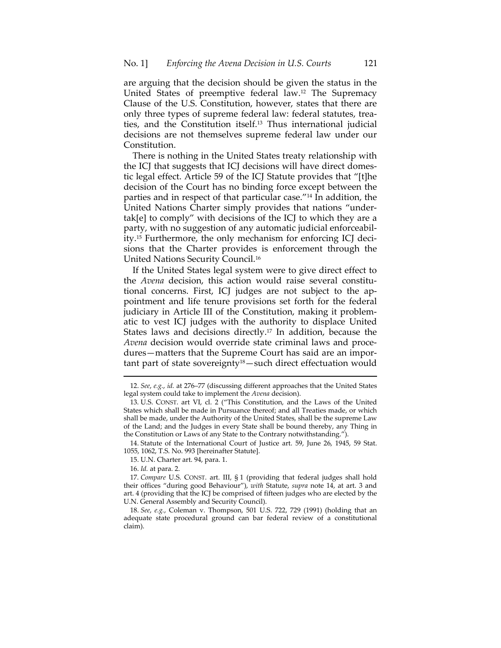are arguing that the decision should be given the status in the United States of preemptive federal law.12 The Supremacy Clause of the U.S. Constitution, however, states that there are only three types of supreme federal law: federal statutes, trea‐ ties, and the Constitution itself.13 Thus international judicial decisions are not themselves supreme federal law under our Constitution.

There is nothing in the United States treaty relationship with the ICJ that suggests that ICJ decisions will have direct domes‐ tic legal effect. Article 59 of the ICJ Statute provides that "[t]he decision of the Court has no binding force except between the parties and in respect of that particular case."14 In addition, the United Nations Charter simply provides that nations "under‐ tak[e] to comply" with decisions of the ICJ to which they are a party, with no suggestion of any automatic judicial enforceability.<sup>15</sup> Furthermore, the only mechanism for enforcing ICJ decisions that the Charter provides is enforcement through the United Nations Security Council.16

If the United States legal system were to give direct effect to the *Avena* decision, this action would raise several constitutional concerns. First, ICJ judges are not subject to the ap‐ pointment and life tenure provisions set forth for the federal judiciary in Article III of the Constitution, making it problem‐ atic to vest ICJ judges with the authority to displace United States laws and decisions directly.17 In addition, because the *Avena* decision would override state criminal laws and proce‐ dures—matters that the Supreme Court has said are an important part of state sovereignty18—such direct effectuation would

14. Statute of the International Court of Justice art. 59, June 26, 1945, 59 Stat. 1055, 1062, T.S. No. 993 [hereinafter Statute].

16. *Id.* at para. 2.

18. *See*, *e.g.*, Coleman v. Thompson, 501 U.S. 722, 729 (1991) (holding that an adequate state procedural ground can bar federal review of a constitutional claim).

 12. *See*, *e.g.*, *id.* at 276–77 (discussing different approaches that the United States legal system could take to implement the *Avena* decision).

<sup>13.</sup> U.S. CONST. art VI, cl. 2 ("This Constitution, and the Laws of the United States which shall be made in Pursuance thereof; and all Treaties made, or which shall be made, under the Authority of the United States, shall be the supreme Law of the Land; and the Judges in every State shall be bound thereby, any Thing in the Constitution or Laws of any State to the Contrary notwithstanding.").

<sup>15.</sup> U.N. Charter art. 94, para. 1.

<sup>17.</sup> *Compare* U.S. CONST. art. III, § 1 (providing that federal judges shall hold their offices "during good Behaviour"), *with* Statute, *supra* note 14, at art. 3 and art. 4 (providing that the ICJ be comprised of fifteen judges who are elected by the U.N. General Assembly and Security Council).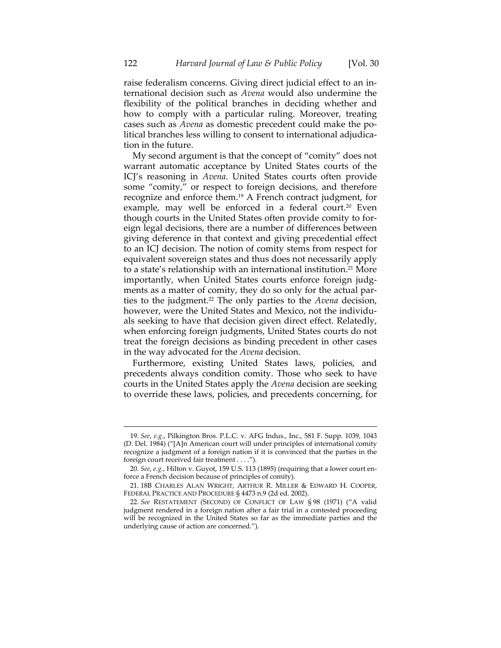raise federalism concerns. Giving direct judicial effect to an in‐ ternational decision such as *Avena* would also undermine the flexibility of the political branches in deciding whether and how to comply with a particular ruling. Moreover, treating cases such as *Avena* as domestic precedent could make the political branches less willing to consent to international adjudica‐ tion in the future.

My second argument is that the concept of "comity" does not warrant automatic acceptance by United States courts of the ICJ's reasoning in *Avena*. United States courts often provide some "comity," or respect to foreign decisions, and therefore recognize and enforce them.19 A French contract judgment, for example, may well be enforced in a federal court.<sup>20</sup> Even though courts in the United States often provide comity to for‐ eign legal decisions, there are a number of differences between giving deference in that context and giving precedential effect to an ICJ decision. The notion of comity stems from respect for equivalent sovereign states and thus does not necessarily apply to a state's relationship with an international institution.21 More importantly, when United States courts enforce foreign judgments as a matter of comity, they do so only for the actual parties to the judgment.22 The only parties to the *Avena* decision, however, were the United States and Mexico, not the individuals seeking to have that decision given direct effect. Relatedly, when enforcing foreign judgments, United States courts do not treat the foreign decisions as binding precedent in other cases in the way advocated for the *Avena* decision.

Furthermore, existing United States laws, policies, and precedents always condition comity. Those who seek to have courts in the United States apply the *Avena* decision are seeking to override these laws, policies, and precedents concerning, for

<sup>19.</sup> *See*, *e.g.*, Pilkington Bros. P.L.C. v. AFG Indus., Inc., 581 F. Supp. 1039, 1043 (D. Del. 1984) ("[A]n American court will under principles of international comity recognize a judgment of a foreign nation if it is convinced that the parties in the foreign court received fair treatment . . . .").

<sup>20.</sup> *See*, *e.g.*, Hilton v. Guyot, 159 U.S. 113 (1895) (requiring that a lower court en‐ force a French decision because of principles of comity).

<sup>21.</sup> 18B CHARLES ALAN WRIGHT, ARTHUR R. MILLER & EDWARD H. COOPER, FEDERAL PRACTICE AND PROCEDURE § 4473 n.9 (2d ed. 2002).

<sup>22</sup>*. See* RESTATEMENT (SECOND) OF CONFLICT OF LAW § 98 (1971) ("A valid judgment rendered in a foreign nation after a fair trial in a contested proceeding will be recognized in the United States so far as the immediate parties and the underlying cause of action are concerned.").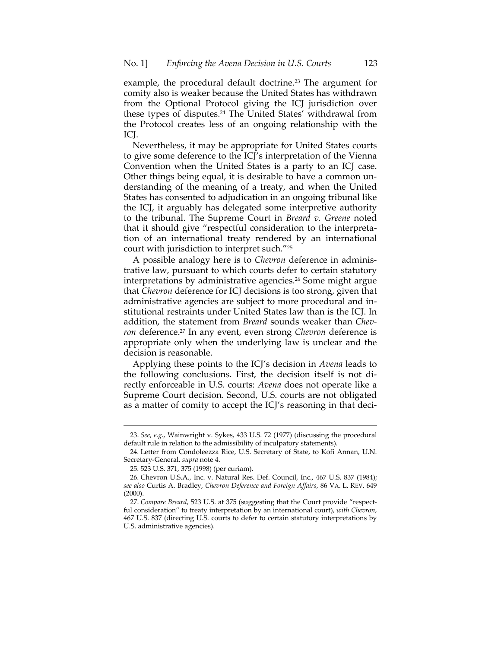example, the procedural default doctrine.<sup>23</sup> The argument for comity also is weaker because the United States has withdrawn from the Optional Protocol giving the ICJ jurisdiction over these types of disputes.24 The United States' withdrawal from the Protocol creates less of an ongoing relationship with the ICJ.

Nevertheless, it may be appropriate for United States courts to give some deference to the ICJ's interpretation of the Vienna Convention when the United States is a party to an ICJ case. Other things being equal, it is desirable to have a common un‐ derstanding of the meaning of a treaty, and when the United States has consented to adjudication in an ongoing tribunal like the ICJ, it arguably has delegated some interpretive authority to the tribunal. The Supreme Court in *Breard v. Greene* noted that it should give "respectful consideration to the interpreta‐ tion of an international treaty rendered by an international court with jurisdiction to interpret such."25

A possible analogy here is to *Chevron* deference in adminis‐ trative law, pursuant to which courts defer to certain statutory interpretations by administrative agencies.26 Some might argue that *Chevron* deference for ICJ decisions is too strong, given that administrative agencies are subject to more procedural and in‐ stitutional restraints under United States law than is the ICJ. In addition, the statement from *Breard* sounds weaker than *Chev‐ ron* deference.<sup>27</sup> In any event, even strong *Chevron* deference is appropriate only when the underlying law is unclear and the decision is reasonable.

Applying these points to the ICJ's decision in *Avena* leads to the following conclusions. First, the decision itself is not di‐ rectly enforceable in U.S. courts: *Avena* does not operate like a Supreme Court decision. Second, U.S. courts are not obligated as a matter of comity to accept the ICJ's reasoning in that deci-

<sup>&</sup>lt;u> 1989 - Johann Stein, marwolaethau a bhann an t-Amhain an t-Amhain an t-Amhain an t-Amhain an t-Amhain an t-A</u> 23. *See*, *e.g.*, Wainwright v. Sykes, 433 U.S. 72 (1977) (discussing the procedural default rule in relation to the admissibility of inculpatory statements).

<sup>24.</sup> Letter from Condoleezza Rice, U.S. Secretary of State, to Kofi Annan, U.N. Secretary‐General, *supra* note 4.

<sup>25.</sup> 523 U.S. 371, 375 (1998) (per curiam).

<sup>26.</sup> Chevron U.S.A., Inc. v. Natural Res. Def. Council, Inc., 467 U.S. 837 (1984); *see also* Curtis A. Bradley, *Chevron Deference and Foreign Affairs*, 86 VA. L. REV. 649 (2000).

<sup>27.</sup> *Compare Breard*, 523 U.S. at 375 (suggesting that the Court provide "respect‐ ful consideration" to treaty interpretation by an international court), *with Chevron*, 467 U.S. 837 (directing U.S. courts to defer to certain statutory interpretations by U.S. administrative agencies).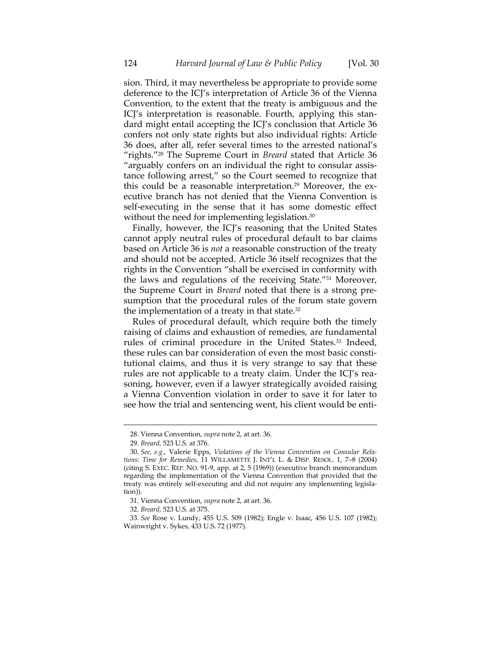sion. Third, it may nevertheless be appropriate to provide some deference to the ICJ's interpretation of Article 36 of the Vienna Convention, to the extent that the treaty is ambiguous and the ICJ's interpretation is reasonable. Fourth, applying this stan‐ dard might entail accepting the ICJ's conclusion that Article 36 confers not only state rights but also individual rights: Article 36 does, after all, refer several times to the arrested national's "rights."28 The Supreme Court in *Breard* stated that Article 36 "arguably confers on an individual the right to consular assis‐ tance following arrest," so the Court seemed to recognize that this could be a reasonable interpretation.<sup>29</sup> Moreover, the executive branch has not denied that the Vienna Convention is self‐executing in the sense that it has some domestic effect without the need for implementing legislation.<sup>30</sup>

Finally, however, the ICJ's reasoning that the United States cannot apply neutral rules of procedural default to bar claims based on Article 36 is *not* a reasonable construction of the treaty and should not be accepted. Article 36 itself recognizes that the rights in the Convention "shall be exercised in conformity with the laws and regulations of the receiving State."31 Moreover, the Supreme Court in *Breard* noted that there is a strong pre‐ sumption that the procedural rules of the forum state govern the implementation of a treaty in that state.32

Rules of procedural default, which require both the timely raising of claims and exhaustion of remedies, are fundamental rules of criminal procedure in the United States.<sup>33</sup> Indeed, these rules can bar consideration of even the most basic consti‐ tutional claims, and thus it is very strange to say that these rules are not applicable to a treaty claim. Under the ICJ's reasoning, however, even if a lawyer strategically avoided raising a Vienna Convention violation in order to save it for later to see how the trial and sentencing went, his client would be enti-

<u> 1989 - Johann Stein, marwolaethau a bhann an t-Amhain an t-Amhain an t-Amhain an t-Amhain an t-Amhain an t-A</u>

<sup>28.</sup> Vienna Convention, *supra* note 2, at art. 36.

<sup>29.</sup> *Breard*, 523 U.S. at 376.

<sup>30.</sup> *See*, *e.g.*, Valerie Epps, *Violations of the Vienna Convention on Consular Rela‐ tions: Time for Remedies*, 11 WILLAMETTE J. INT'L L. & DISP. RESOL. 1, 7–8 (2004) (citing S. EXEC. REP. NO. 91‐9, app. at 2, 5 (1969)) (executive branch memorandum regarding the implementation of the Vienna Convention that provided that the treaty was entirely self‐executing and did not require any implementing legisla‐ tion)).

<sup>31.</sup> Vienna Convention, *supra* note 2, at art. 36.

<sup>32.</sup> *Breard*, 523 U.S. at 375.

<sup>33.</sup> *See* Rose v. Lundy, 455 U.S. 509 (1982); Engle v. Isaac, 456 U.S. 107 (1982); Wainwright v. Sykes, 433 U.S. 72 (1977).